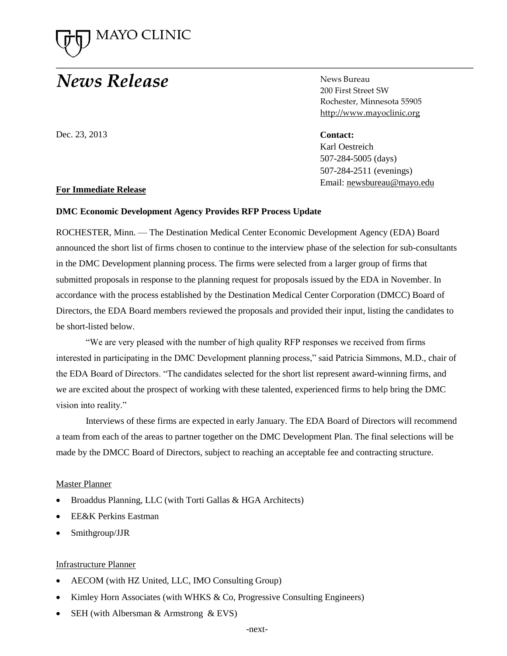

# **News Release**

Dec. 23, 2013

News Bureau 200 First Street SW Rochester, Minnesota 55905 [http://www.mayoclinic.org](http://www.mayoclinic.org/)

**Contact:** Karl Oestreich

**Contact:**  507-284-5005 (days) 507-284-2511 (evenings) Email[: newsbureau@mayo.edu](mailto:newsbureau@mayo.edu)

## **For Immediate Release**

## **DMC Economic Development Agency Provides RFP Process Update**

ROCHESTER, Minn. — The Destination Medical Center Economic Development Agency (EDA) Board announced the short list of firms chosen to continue to the interview phase of the selection for sub-consultants in the DMC Development planning process. The firms were selected from a larger group of firms that submitted proposals in response to the planning request for proposals issued by the EDA in November. In accordance with the process established by the Destination Medical Center Corporation (DMCC) Board of Directors, the EDA Board members reviewed the proposals and provided their input, listing the candidates to be short-listed below.

"We are very pleased with the number of high quality RFP responses we received from firms interested in participating in the DMC Development planning process," said Patricia Simmons, M.D., chair of the EDA Board of Directors. "The candidates selected for the short list represent award-winning firms, and we are excited about the prospect of working with these talented, experienced firms to help bring the DMC vision into reality."

Interviews of these firms are expected in early January. The EDA Board of Directors will recommend a team from each of the areas to partner together on the DMC Development Plan. The final selections will be made by the DMCC Board of Directors, subject to reaching an acceptable fee and contracting structure.

## Master Planner

- Broaddus Planning, LLC (with Torti Gallas & HGA Architects)
- EE&K Perkins Eastman
- Smithgroup/JJR

#### Infrastructure Planner

- AECOM (with HZ United, LLC, IMO Consulting Group)
- Kimley Horn Associates (with WHKS & Co, Progressive Consulting Engineers)
- SEH (with Albersman & Armstrong & EVS)